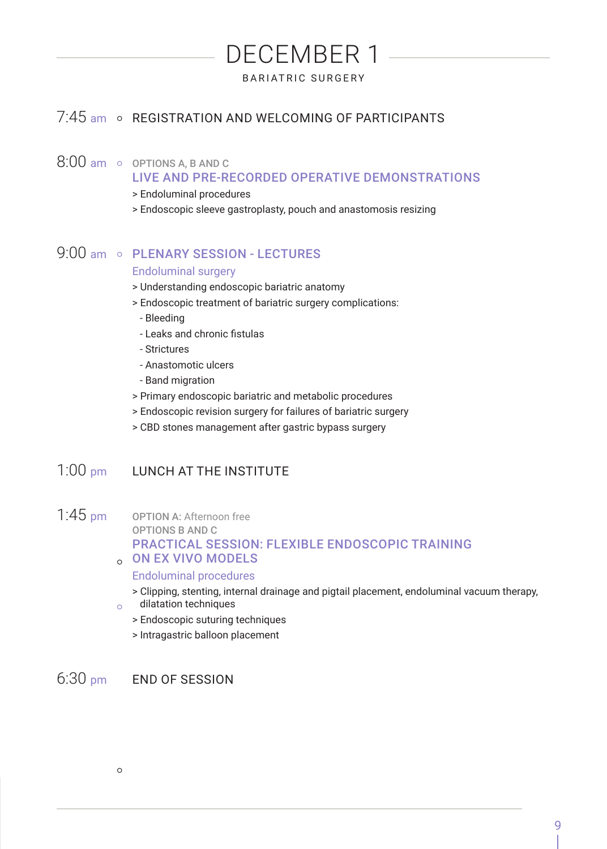# DECEMBER 1 BARIATRIC SURGERY

# 7:45 am o REGISTRATION AND WELCOMING OF PARTICIPANTS

### $8:00$  am  $\circ$  options A, B AND C

#### LIVE AND PRE-RECORDED OPERATIVE DEMONSTRATIONS

- > Endoluminal procedures
- > Endoscopic sleeve gastroplasty, pouch and anastomosis resizing

# 9:00 am o PLENARY SESSION - LECTURES

#### Endoluminal surgery

- > Understanding endoscopic bariatric anatomy
- > Endoscopic treatment of bariatric surgery complications:
	- Bleeding
	- Leaks and chronic fistulas
	- Strictures
	- Anastomotic ulcers
	- Band migration
- > Primary endoscopic bariatric and metabolic procedures
- > Endoscopic revision surgery for failures of bariatric surgery
- > CBD stones management after gastric bypass surgery

# 1:00 pm LUNCH AT THE INSTITUTE

1:45 pm OPTION A: Afternoon free OPTIONS B AND C

# PRACTICAL SESSION: FLEXIBLE ENDOSCOPIC TRAINING

#### ON EX VIVO MODELS

#### Endoluminal procedures

- > Clipping, stenting, internal drainage and pigtail placement, endoluminal vacuum therapy, dilatation techniques  $\circ$ 
	- > Endoscopic suturing techniques
	- > Intragastric balloon placement

6:30 pm END OF SESSION